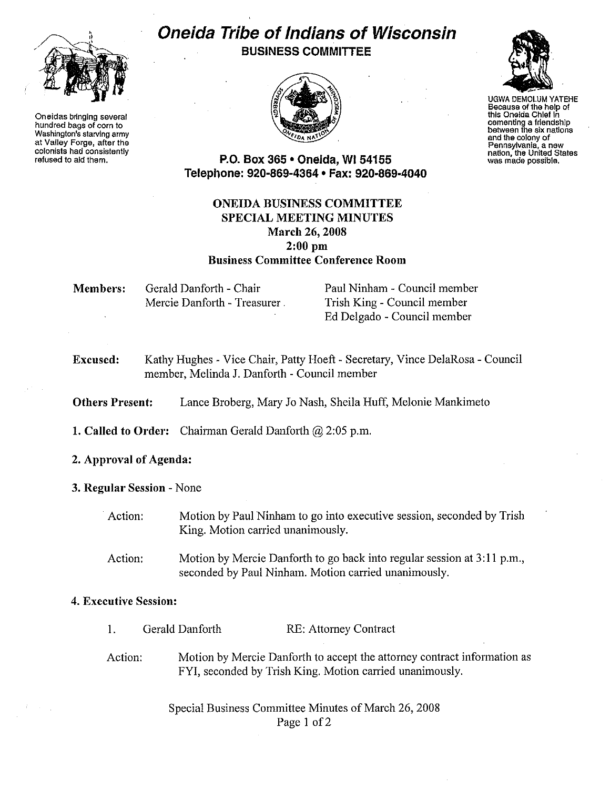

Oneidas bringing several hundred bags of corn to Washington's starving army at Valley Forge, after the colonists had consistently refused to aid them.

# Oneida Tribe of Indians of Wisconsin

BUSINESS COMMITTEE





UGWA DEMOLUM YATEHE Because of the help of this Oneida Chief In cementing a friendship between the six nations senteer alony of<br>and the colony of<br>Pennsylvania, a new nation, the United States was made possible.

P.O. Box 365 • Oneida, WI 54155 Telephone: 920-869-4364 • Fax: 920-869-4040

### ONEIDA BUSINESS COMMITTEE SPECIAL MEETING MINUTES March 26, 2008  $2:00$  pm Business Committee Conference Room

| Members: | Gerald Danforth - Chair      |
|----------|------------------------------|
|          | Mercie Danforth - Treasurer. |

Paul Ninham - Council member Trish King - Council member Ed Delgado - Council member

Excused: Kathy Hughes - Vice Chair, Patty Hoeft- Secretary, Vince DelaRosa- Council member, Melinda J. Danforth- Council member

Others Present: Lance Broberg, Mary Jo Nash, Sheila Huff, Melonie Mankimeto

- 1. Called to Order: Chairman Gerald Danforth  $(2)$  2:05 p.m.
- 2. Approval of Agenda:
- 3. Regular Session -None
	- Action: Motion by Paul Ninham to go into executive session, seconded by Trish King. Motion carried unanimously.
	- Action: Motion by Mercie Danforth to go back into regular session at 3:11 p.m., seconded by Paul Ninham. Motion carried unanimously.

#### 4. Executive Session:

I. Action: Gerald Danforth RE: Attorney Contract Motion by Mercie Danforth to accept the attorney contract information as FYI, seconded by Trish King. Motion carried unanimously.

> Special Business Committee Minutes of March 26, 2008 Page 1 of 2